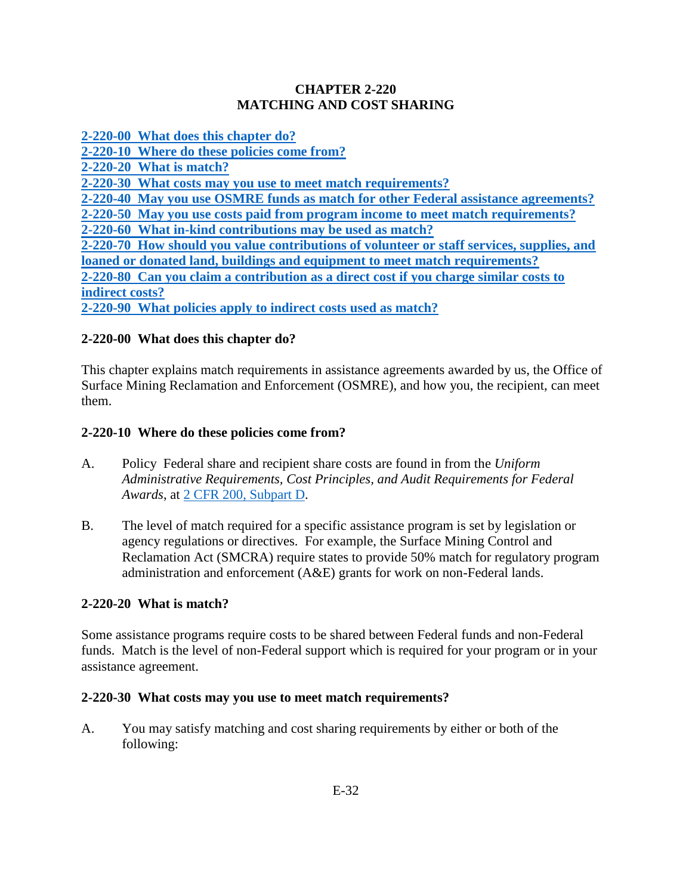## **CHAPTER 2-220 MATCHING AND COST SHARING**

<span id="page-0-0"></span>**[2-220-00 What does this chapter do?](#page-0-0) [2-220-10 Where do these policies come from?](#page-0-1) [2-220-20 What is match?](#page-0-2) [2-220-30 What costs may you use to meet match requirements?](#page-0-3) [2-220-40 May you use OSMRE funds as match for other Federal assistance agreements?](#page-1-0) [2-220-50 May you use costs paid from program income to meet match requirements?](#page-1-1) [2-220-60 What in-kind contributions may be used as match?](#page-1-2) [2-220-70 How should you value contributions of volunteer or staff services, supplies, and](#page-2-0) [loaned or donated land, buildings and equipment to meet match requirements?](#page-2-0) [2-220-80 Can you claim a contribution as a direct cost if you charge similar costs to](#page-3-0) [indirect costs?](#page-3-0)  [2-220-90 What policies apply to indirect costs used as match?](#page-3-1)**

## **2-220-00 What does this chapter do?**

This chapter explains match requirements in assistance agreements awarded by us, the Office of Surface Mining Reclamation and Enforcement (OSMRE), and how you, the recipient, can meet them.

#### <span id="page-0-1"></span>**2-220-10 Where do these policies come from?**

- A. Policy Federal share and recipient share costs are found in from the *Uniform Administrative Requirements, Cost Principles, and Audit Requirements for Federal Awards*, at [2 CFR 200, Subpart D.](http://www.ecfr.gov/cgi-bin/text-idx?SID=33711bb8511956731aa17c16fd2a18d7&mc=true&tpl=/ecfrbrowse/Title02/2tab_02.tpl)
- B. The level of match required for a specific assistance program is set by legislation or agency regulations or directives. For example, the Surface Mining Control and Reclamation Act (SMCRA) require states to provide 50% match for regulatory program administration and enforcement (A&E) grants for work on non-Federal lands.

#### <span id="page-0-2"></span>**2-220-20 What is match?**

Some assistance programs require costs to be shared between Federal funds and non-Federal funds. Match is the level of non-Federal support which is required for your program or in your assistance agreement.

#### <span id="page-0-3"></span>**2-220-30 What costs may you use to meet match requirements?**

A. You may satisfy matching and cost sharing requirements by either or both of the following: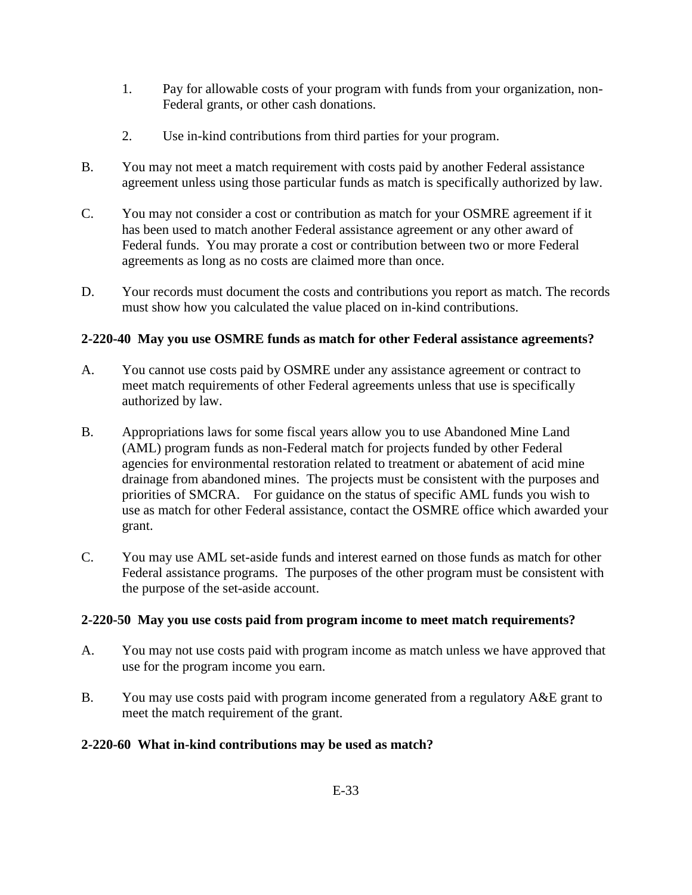- 1. Pay for allowable costs of your program with funds from your organization, non-Federal grants, or other cash donations.
- 2. Use in-kind contributions from third parties for your program.
- B. You may not meet a match requirement with costs paid by another Federal assistance agreement unless using those particular funds as match is specifically authorized by law.
- C. You may not consider a cost or contribution as match for your OSMRE agreement if it has been used to match another Federal assistance agreement or any other award of Federal funds. You may prorate a cost or contribution between two or more Federal agreements as long as no costs are claimed more than once.
- D. Your records must document the costs and contributions you report as match. The records must show how you calculated the value placed on in-kind contributions.

## <span id="page-1-0"></span>**2-220-40 May you use OSMRE funds as match for other Federal assistance agreements?**

- A. You cannot use costs paid by OSMRE under any assistance agreement or contract to meet match requirements of other Federal agreements unless that use is specifically authorized by law.
- B. Appropriations laws for some fiscal years allow you to use Abandoned Mine Land (AML) program funds as non-Federal match for projects funded by other Federal agencies for environmental restoration related to treatment or abatement of acid mine drainage from abandoned mines. The projects must be consistent with the purposes and priorities of SMCRA. For guidance on the status of specific AML funds you wish to use as match for other Federal assistance, contact the OSMRE office which awarded your grant.
- C. You may use AML set-aside funds and interest earned on those funds as match for other Federal assistance programs. The purposes of the other program must be consistent with the purpose of the set-aside account.

## <span id="page-1-1"></span>**2-220-50 May you use costs paid from program income to meet match requirements?**

- A. You may not use costs paid with program income as match unless we have approved that use for the program income you earn.
- B. You may use costs paid with program income generated from a regulatory A&E grant to meet the match requirement of the grant.

## <span id="page-1-2"></span>**2-220-60 What in-kind contributions may be used as match?**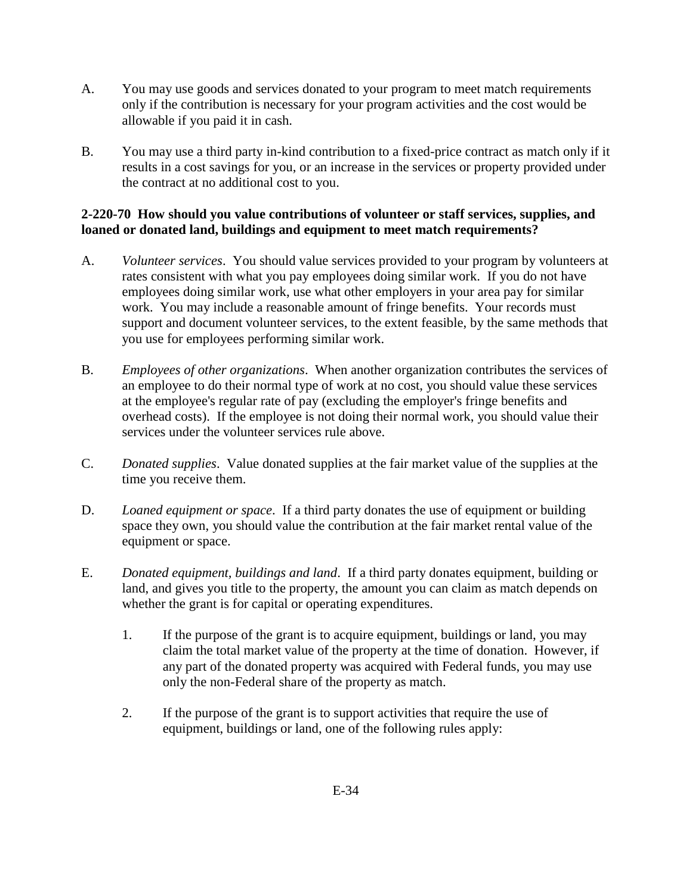- A. You may use goods and services donated to your program to meet match requirements only if the contribution is necessary for your program activities and the cost would be allowable if you paid it in cash.
- B. You may use a third party in-kind contribution to a fixed-price contract as match only if it results in a cost savings for you, or an increase in the services or property provided under the contract at no additional cost to you.

#### <span id="page-2-0"></span>**2-220-70 How should you value contributions of volunteer or staff services, supplies, and loaned or donated land, buildings and equipment to meet match requirements?**

- A. *Volunteer services*. You should value services provided to your program by volunteers at rates consistent with what you pay employees doing similar work. If you do not have employees doing similar work, use what other employers in your area pay for similar work. You may include a reasonable amount of fringe benefits. Your records must support and document volunteer services, to the extent feasible, by the same methods that you use for employees performing similar work.
- B. *Employees of other organizations*. When another organization contributes the services of an employee to do their normal type of work at no cost, you should value these services at the employee's regular rate of pay (excluding the employer's fringe benefits and overhead costs). If the employee is not doing their normal work, you should value their services under the volunteer services rule above.
- C. *Donated supplies*. Value donated supplies at the fair market value of the supplies at the time you receive them.
- D. *Loaned equipment or space*. If a third party donates the use of equipment or building space they own, you should value the contribution at the fair market rental value of the equipment or space.
- E. *Donated equipment, buildings and land*. If a third party donates equipment, building or land, and gives you title to the property, the amount you can claim as match depends on whether the grant is for capital or operating expenditures.
	- 1. If the purpose of the grant is to acquire equipment, buildings or land, you may claim the total market value of the property at the time of donation. However, if any part of the donated property was acquired with Federal funds, you may use only the non-Federal share of the property as match.
	- 2. If the purpose of the grant is to support activities that require the use of equipment, buildings or land, one of the following rules apply: